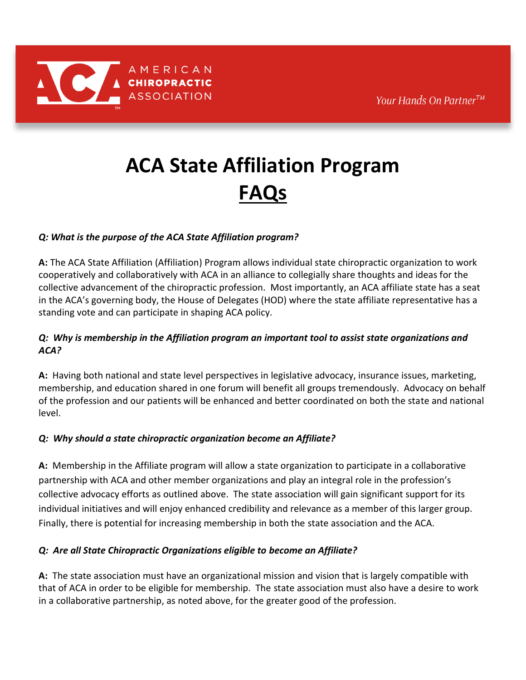# **ACA State Affiliation Program FAQs**

# *Q: What is the purpose of the ACA State Affiliation program?*

**A:** The ACA State Affiliation (Affiliation) Program allows individual state chiropractic organization to work cooperatively and collaboratively with ACA in an alliance to collegially share thoughts and ideas for the collective advancement of the chiropractic profession. Most importantly, an ACA affiliate state has a seat in the ACA's governing body, the House of Delegates (HOD) where the state affiliate representative has a standing vote and can participate in shaping ACA policy.

## *Q: Why is membership in the Affiliation program an important tool to assist state organizations and ACA?*

**A:** Having both national and state level perspectives in legislative advocacy, insurance issues, marketing, membership, and education shared in one forum will benefit all groups tremendously. Advocacy on behalf of the profession and our patients will be enhanced and better coordinated on both the state and national level.

# *Q: Why should a state chiropractic organization become an Affiliate?*

**A:** Membership in the Affiliate program will allow a state organization to participate in a collaborative partnership with ACA and other member organizations and play an integral role in the profession's collective advocacy efforts as outlined above. The state association will gain significant support for its individual initiatives and will enjoy enhanced credibility and relevance as a member of this larger group. Finally, there is potential for increasing membership in both the state association and the ACA.

# *Q: Are all State Chiropractic Organizations eligible to become an Affiliate?*

**A:** The state association must have an organizational mission and vision that is largely compatible with that of ACA in order to be eligible for membership. The state association must also have a desire to work in a collaborative partnership, as noted above, for the greater good of the profession.